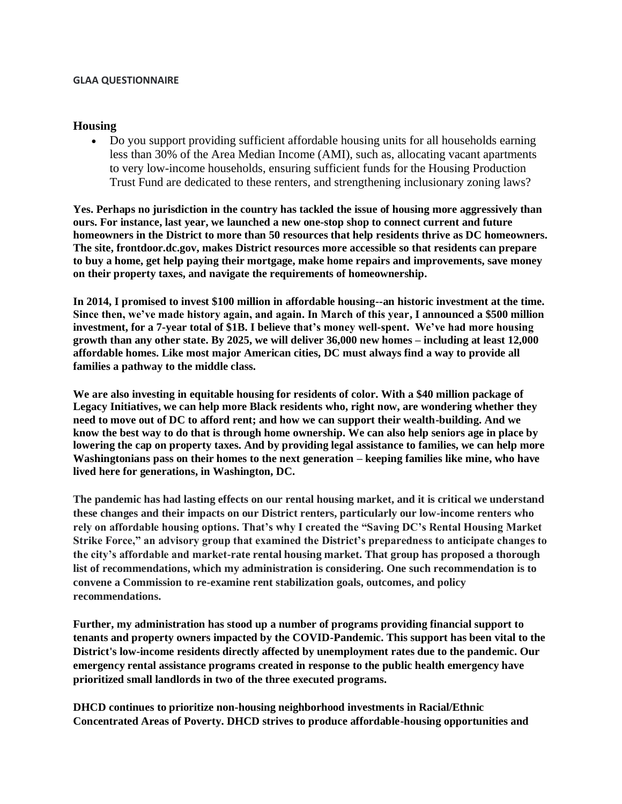#### **GLAA QUESTIONNAIRE**

#### **Housing**

• Do you support providing sufficient affordable housing units for all households earning less than 30% of the Area Median Income (AMI), such as, allocating vacant apartments to very low-income households, ensuring sufficient funds for the Housing Production Trust Fund are dedicated to these renters, and strengthening inclusionary zoning laws?

**Yes. Perhaps no jurisdiction in the country has tackled the issue of housing more aggressively than ours. For instance, last year, we launched a new one-stop shop to connect current and future homeowners in the District to more than 50 resources that help residents thrive as DC homeowners. The site, [frontdoor.dc.gov,](https://www.frontdoor.dc.gov/) makes District resources more accessible so that residents can prepare to buy a home, get help paying their mortgage, make home repairs and improvements, save money on their property taxes, and navigate the requirements of homeownership.**

**In 2014, I promised to invest \$100 million in affordable housing--an historic investment at the time. Since then, we've made history again, and again. In March of this year, I announced a \$500 million investment, for a 7-year total of \$1B. I believe that's money well-spent. We've had more housing growth than any other state. By 2025, we will deliver 36,000 new homes – including at least 12,000 affordable homes. Like most major American cities, DC must always find a way to provide all families a pathway to the middle class.**

**We are also investing in equitable housing for residents of color. With a \$40 million package of Legacy Initiatives, we can help more Black residents who, right now, are wondering whether they need to move out of DC to afford rent; and how we can support their wealth-building. And we know the best way to do that is through home ownership. We can also help seniors age in place by lowering the cap on property taxes. And by providing legal assistance to families, we can help more Washingtonians pass on their homes to the next generation – keeping families like mine, who have lived here for generations, in Washington, DC.**

**The pandemic has had lasting effects on our rental housing market, and it is critical we understand these changes and their impacts on our District renters, particularly our low-income renters who rely on affordable housing options. That's why I created the "Saving DC's Rental Housing Market Strike Force," an advisory group that examined the District's preparedness to anticipate changes to the city's affordable and market-rate rental housing market. That group has proposed a thorough list of recommendations, which my administration is considering. One such recommendation is to convene a Commission to re-examine rent stabilization goals, outcomes, and policy recommendations.** 

**Further, my administration has stood up a number of programs providing financial support to tenants and property owners impacted by the COVID-Pandemic. This support has been vital to the District's low-income residents directly affected by unemployment rates due to the pandemic. Our emergency rental assistance programs created in response to the public health emergency have prioritized small landlords in two of the three executed programs.** 

**DHCD continues to prioritize non-housing neighborhood investments in Racial/Ethnic Concentrated Areas of Poverty. DHCD strives to produce affordable-housing opportunities and**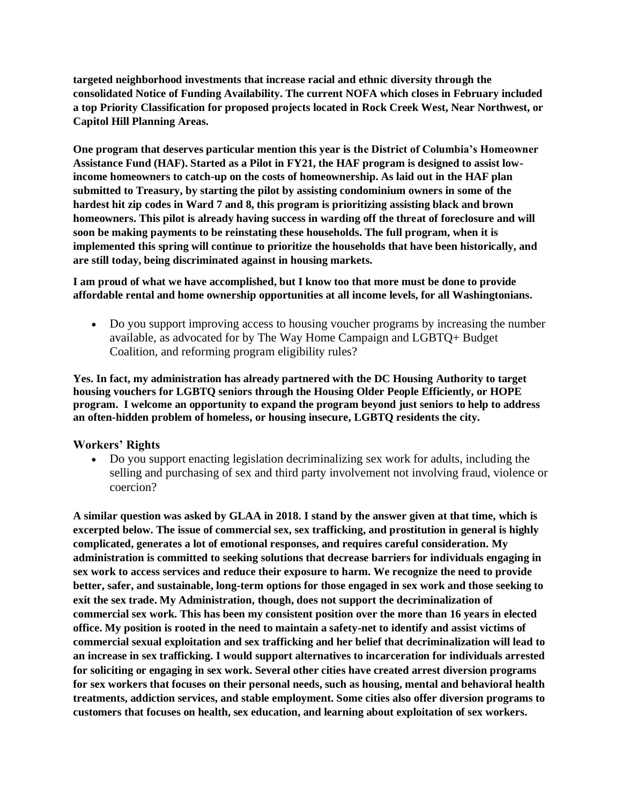**targeted neighborhood investments that increase racial and ethnic diversity through the consolidated Notice of Funding Availability. The current NOFA which closes in February included a top Priority Classification for proposed projects located in Rock Creek West, Near Northwest, or Capitol Hill Planning Areas.** 

**One program that deserves particular mention this year is the District of Columbia's Homeowner Assistance Fund (HAF). Started as a Pilot in FY21, the HAF program is designed to assist lowincome homeowners to catch-up on the costs of homeownership. As laid out in the HAF plan submitted to Treasury, by starting the pilot by assisting condominium owners in some of the hardest hit zip codes in Ward 7 and 8, this program is prioritizing assisting black and brown homeowners. This pilot is already having success in warding off the threat of foreclosure and will soon be making payments to be reinstating these households. The full program, when it is implemented this spring will continue to prioritize the households that have been historically, and are still today, being discriminated against in housing markets.** 

#### **I am proud of what we have accomplished, but I know too that more must be done to provide affordable rental and home ownership opportunities at all income levels, for all Washingtonians.**

• Do you support improving access to housing voucher programs by increasing the number available, as advocated for by The Way Home Campaign and LGBTQ+ Budget Coalition, and reforming program eligibility rules?

**Yes. In fact, my administration has already partnered with the DC Housing Authority to target housing vouchers for LGBTQ seniors through the Housing Older People Efficiently, or HOPE program. I welcome an opportunity to expand the program beyond just seniors to help to address an often-hidden problem of homeless, or housing insecure, LGBTQ residents the city.**

## **Workers' Rights**

• Do you support enacting legislation decriminalizing sex work for adults, including the selling and purchasing of sex and third party involvement not involving fraud, violence or coercion?

**A similar question was asked by GLAA in 2018. I stand by the answer given at that time, which is excerpted below. The issue of commercial sex, sex trafficking, and prostitution in general is highly complicated, generates a lot of emotional responses, and requires careful consideration. My administration is committed to seeking solutions that decrease barriers for individuals engaging in sex work to access services and reduce their exposure to harm. We recognize the need to provide better, safer, and sustainable, long-term options for those engaged in sex work and those seeking to exit the sex trade. My Administration, though, does not support the decriminalization of commercial sex work. This has been my consistent position over the more than 16 years in elected office. My position is rooted in the need to maintain a safety-net to identify and assist victims of commercial sexual exploitation and sex trafficking and her belief that decriminalization will lead to an increase in sex trafficking. I would support alternatives to incarceration for individuals arrested for soliciting or engaging in sex work. Several other cities have created arrest diversion programs for sex workers that focuses on their personal needs, such as housing, mental and behavioral health treatments, addiction services, and stable employment. Some cities also offer diversion programs to customers that focuses on health, sex education, and learning about exploitation of sex workers.**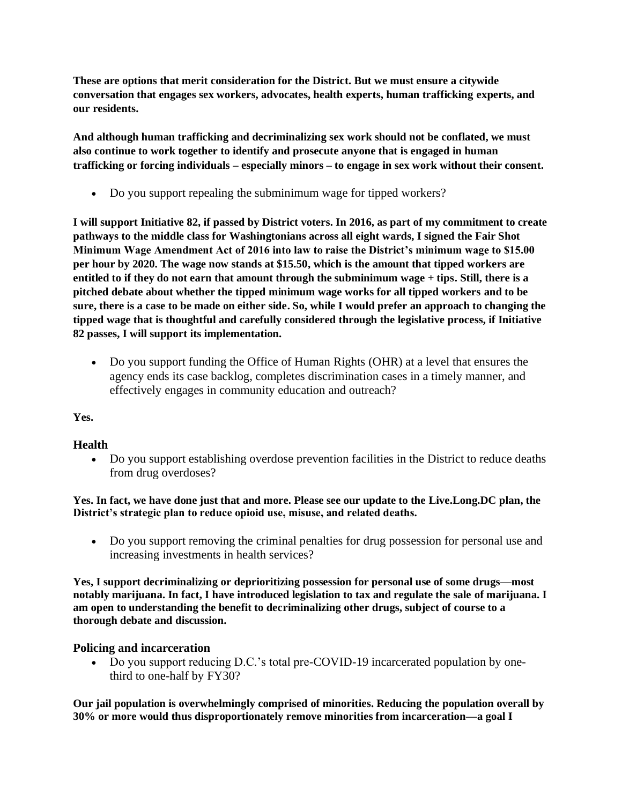**These are options that merit consideration for the District. But we must ensure a citywide conversation that engages sex workers, advocates, health experts, human trafficking experts, and our residents.** 

**And although human trafficking and decriminalizing sex work should not be conflated, we must also continue to work together to identify and prosecute anyone that is engaged in human trafficking or forcing individuals – especially minors – to engage in sex work without their consent.**

• Do you support repealing the subminimum wage for tipped workers?

**I will support Initiative 82, if passed by District voters. In 2016, as part of my commitment to create pathways to the middle class for Washingtonians across all eight wards, I signed the Fair Shot Minimum Wage Amendment Act of 2016 into law to raise the District's minimum wage to \$15.00 per hour by 2020. The wage now stands at \$15.50, which is the amount that tipped workers are entitled to if they do not earn that amount through the subminimum wage + tips. Still, there is a pitched debate about whether the tipped minimum wage works for all tipped workers and to be sure, there is a case to be made on either side. So, while I would prefer an approach to changing the tipped wage that is thoughtful and carefully considered through the legislative process, if Initiative 82 passes, I will support its implementation.**

• Do you support funding the Office of Human Rights (OHR) at a level that ensures the agency ends its case backlog, completes discrimination cases in a timely manner, and effectively engages in community education and outreach?

**Yes.** 

# **Health**

• Do you support establishing overdose prevention facilities in the District to reduce deaths from drug overdoses?

**Yes. In fact, we have done just that and more. Please see our update to the [Live.Long.DC](/Users/carriekohns/Library/Containers/com.apple.mail/Data/Library/Mail%20Downloads/B1E714AC-8602-4299-A9D8-63147BA8071A/District’s%20strategic%20plan%20to%20reduce%20opioid%20use,%20misuse,%20and%20related%20deaths.) plan, the District's strategic plan to reduce opioid use, misuse, and related deaths.**

• Do you support removing the criminal penalties for drug possession for personal use and increasing investments in health services?

**Yes, I support decriminalizing or deprioritizing possession for personal use of some drugs—most notably marijuana. In fact, I have introduced legislation to tax and regulate the sale of marijuana. I am open to understanding the benefit to decriminalizing other drugs, subject of course to a thorough debate and discussion.** 

## **Policing and incarceration**

• Do you support reducing D.C.'s total pre-COVID-19 incarcerated population by onethird to one-half by FY30?

**Our jail population is overwhelmingly comprised of minorities. Reducing the population overall by 30% or more would thus disproportionately remove minorities from incarceration—a goal I**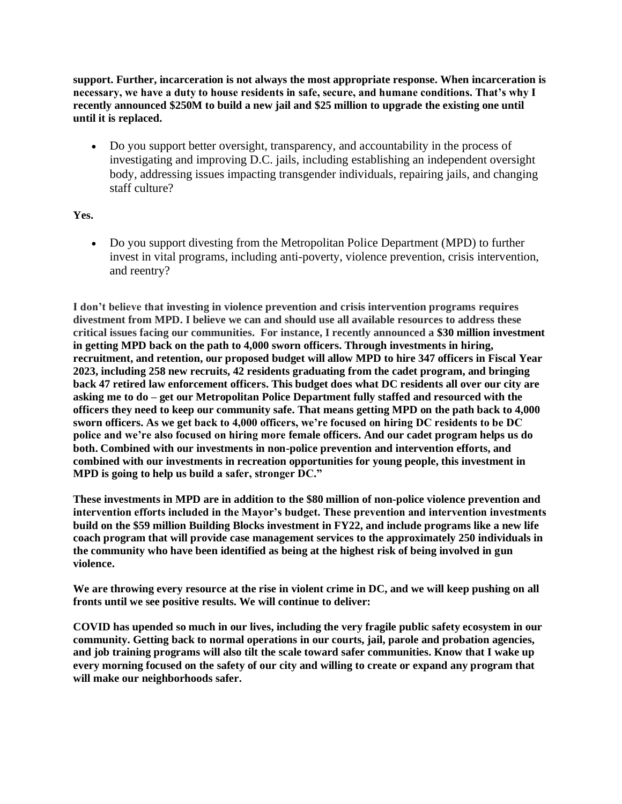**support. Further, incarceration is not always the most appropriate response. When incarceration is necessary, we have a duty to house residents in safe, secure, and humane conditions. That's why I recently announced \$250M to build a new jail and \$25 million to upgrade the existing one until until it is replaced.** 

• Do you support better oversight, transparency, and accountability in the process of investigating and improving D.C. jails, including establishing an independent oversight body, addressing issues impacting transgender individuals, repairing jails, and changing staff culture?

**Yes.** 

• Do you support divesting from the Metropolitan Police Department (MPD) to further invest in vital programs, including anti-poverty, violence prevention, crisis intervention, and reentry?

**I don't believe that investing in violence prevention and crisis intervention programs requires divestment from MPD. I believe we can and should use all available resources to address these critical issues facing our communities. For instance, I recently announced a \$30 million investment in getting MPD back on the path to 4,000 sworn officers. Through investments in hiring, recruitment, and retention, our proposed budget will allow MPD to hire 347 officers in Fiscal Year 2023, including 258 new recruits, 42 residents graduating from the cadet program, and bringing back 47 retired law enforcement officers. This budget does what DC residents all over our city are asking me to do – get our Metropolitan Police Department fully staffed and resourced with the officers they need to keep our community safe. That means getting MPD on the path back to 4,000 sworn officers. As we get back to 4,000 officers, we're focused on hiring DC residents to be DC police and we're also focused on hiring more female officers. And our cadet program helps us do both. Combined with our investments in non-police prevention and intervention efforts, and combined with our investments in recreation opportunities for young people, this investment in MPD is going to help us build a safer, stronger DC."**

**These investments in MPD are in addition to the \$80 million of non-police violence prevention and intervention efforts included in the Mayor's budget. These prevention and intervention investments build on the \$59 million Building Blocks investment in FY22, and include programs like a new life coach program that will provide case management services to the approximately 250 individuals in the community who have been identified as being at the highest risk of being involved in gun violence.**

**We are throwing every resource at the rise in violent crime in DC, and we will keep pushing on all fronts until we see positive results. We will continue to deliver:**

**COVID has upended so much in our lives, including the very fragile public safety ecosystem in our community. Getting back to normal operations in our courts, jail, parole and probation agencies, and job training programs will also tilt the scale toward safer communities. Know that I wake up every morning focused on the safety of our city and willing to create or expand any program that will make our neighborhoods safer.**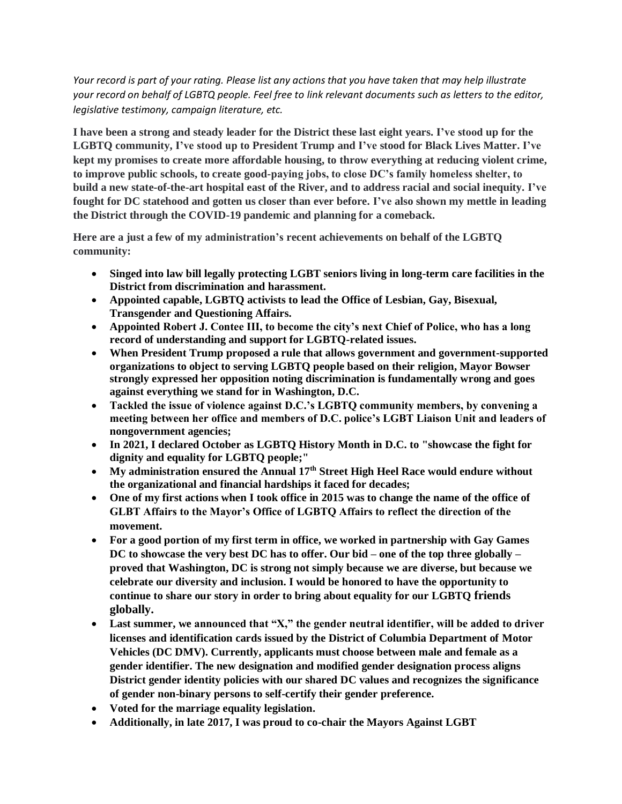*Your record is part of your rating. Please list any actions that you have taken that may help illustrate your record on behalf of LGBTQ people. Feel free to link relevant documents such as letters to the editor, legislative testimony, campaign literature, etc.*

**I have been a strong and steady leader for the District these last eight years. I've stood up for the LGBTQ community, I've stood up to President Trump and I've stood for Black Lives Matter. I've kept my promises to create more affordable housing, to throw everything at reducing violent crime, to improve public schools, to create good-paying jobs, to close DC's family homeless shelter, to build a new state-of-the-art hospital east of the River, and to address racial and social inequity. I've fought for DC statehood and gotten us closer than ever before. I've also shown my mettle in leading the District through the COVID-19 pandemic and planning for a comeback.** 

**Here are a just a few of my administration's recent achievements on behalf of the LGBTQ community:**

- **Singed into law bill legally protecting LGBT seniors living in long-term care facilities in the District from discrimination and harassment.**
- **Appointed capable, LGBTQ activists to lead the Office of Lesbian, Gay, Bisexual, Transgender and Questioning Affairs.**
- **Appointed Robert J. Contee III, to become the city's next Chief of Police, who has a long record of understanding and support for LGBTQ-related issues.**
- **When President Trump proposed a rule that allows government and government-supported organizations to object to serving LGBTQ people based on their religion, Mayor Bowser strongly expressed her opposition noting discrimination is fundamentally wrong and goes against everything we stand for in Washington, D.C.**
- **Tackled the issue of violence against D.C.'s LGBTQ community members, by convening a meeting between her office and members of D.C. police's LGBT Liaison Unit and leaders of nongovernment agencies;**
- **In 2021, I declared October as LGBTQ History Month in D.C. to "showcase the fight for dignity and equality for LGBTQ people;"**
- **My administration ensured the Annual 17th Street High Heel Race would endure without the organizational and financial hardships it faced for decades;**
- **One of my first actions when I took office in 2015 was to change the name of the office of GLBT Affairs to the Mayor's Office of LGBTQ Affairs to reflect the direction of the movement.**
- **For a good portion of my first term in office, we worked in partnership with Gay Games DC to showcase the very best DC has to offer. Our bid – one of the top three globally – proved that Washington, DC is strong not simply because we are diverse, but because we celebrate our diversity and inclusion. I would be honored to have the opportunity to continue to share our story in order to bring about equality for our LGBTQ friends globally.**
- **Last summer, we announced that "X," the gender neutral identifier, will be added to driver licenses and identification cards issued by the District of Columbia Department of Motor Vehicles (DC DMV). Currently, applicants must choose between male and female as a gender identifier. The new designation and modified gender designation process aligns District gender identity policies with our shared DC values and recognizes the significance of gender non-binary persons to self-certify their gender preference.**
- **Voted for the marriage equality legislation.**
- **Additionally, in late 2017, I was proud to co-chair the Mayors Against LGBT**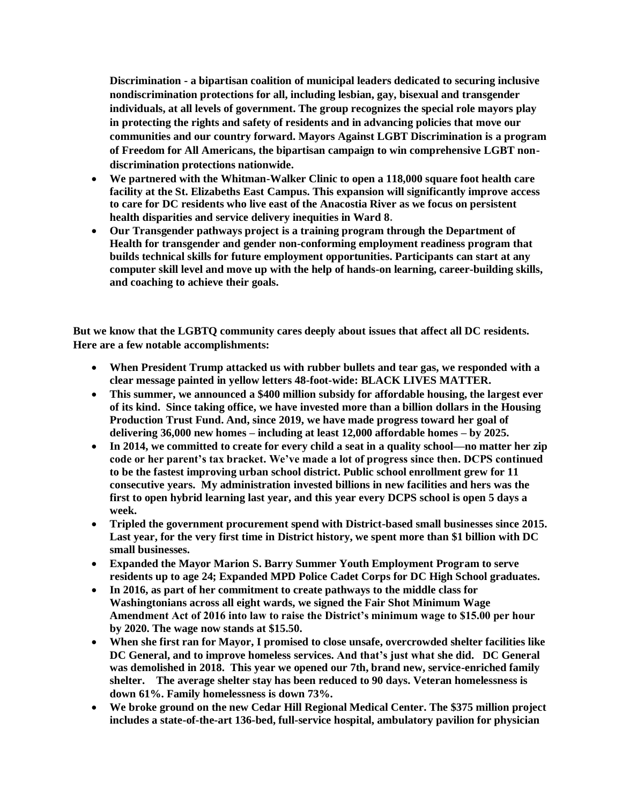**Discrimination - a bipartisan coalition of municipal leaders dedicated to securing inclusive nondiscrimination protections for all, including lesbian, gay, bisexual and transgender individuals, at all levels of government. The group recognizes the special role mayors play in protecting the rights and safety of residents and in advancing policies that move our communities and our country forward. Mayors Against LGBT Discrimination is a program of Freedom for All Americans, the bipartisan campaign to win comprehensive LGBT nondiscrimination protections nationwide.**

- **We partnered with the Whitman-Walker Clinic to open a 118,000 square foot health care facility at the St. Elizabeths East Campus. This expansion will significantly improve access to care for DC residents who live east of the Anacostia River as we focus on persistent health disparities and service delivery inequities in Ward 8.**
- **Our Transgender pathways project is a training program through the Department of Health for transgender and gender non-conforming employment readiness program that builds technical skills for future employment opportunities. Participants can start at any computer skill level and move up with the help of hands-on learning, career-building skills, and coaching to achieve their goals.**

**But we know that the LGBTQ community cares deeply about issues that affect all DC residents. Here are a few notable accomplishments:**

- **When President Trump attacked us with rubber bullets and tear gas, we responded with a clear message painted in yellow letters 48-foot-wide: BLACK LIVES MATTER.**
- **This summer, we announced a \$400 million subsidy for affordable housing, the largest ever of its kind. Since taking office, we have invested more than a billion dollars in the Housing Production Trust Fund. And, since 2019, we have made progress toward her goal of delivering 36,000 new homes – including at least 12,000 affordable homes – by 2025.**
- **In 2014, we committed to create for every child a seat in a quality school—no matter her zip code or her parent's tax bracket. We've made a lot of progress since then. DCPS continued to be the fastest improving urban school district. Public school enrollment grew for 11 consecutive years. My administration invested billions in new facilities and hers was the first to open hybrid learning last year, and this year every DCPS school is open 5 days a week.**
- **Tripled the government procurement spend with District-based small businesses since 2015. Last year, for the very first time in District history, we spent more than \$1 billion with DC small businesses.**
- **Expanded the Mayor Marion S. Barry Summer Youth Employment Program to serve residents up to age 24; Expanded MPD Police Cadet Corps for DC High School graduates.**
- **In 2016, as part of her commitment to create pathways to the middle class for Washingtonians across all eight wards, we signed the Fair Shot Minimum Wage Amendment Act of 2016 into law to raise the District's minimum wage to \$15.00 per hour by 2020. The wage now stands at \$15.50.**
- **When she first ran for Mayor, I promised to close unsafe, overcrowded shelter facilities like DC General, and to improve homeless services. And that's just what she did. DC General was demolished in 2018. This year we opened our 7th, brand new, service-enriched family shelter. The average shelter stay has been reduced to 90 days. Veteran homelessness is down 61%. Family homelessness is down 73%.**
- **We broke ground on the new Cedar Hill Regional Medical Center. The \$375 million project includes a state-of-the-art 136-bed, full-service hospital, ambulatory pavilion for physician**